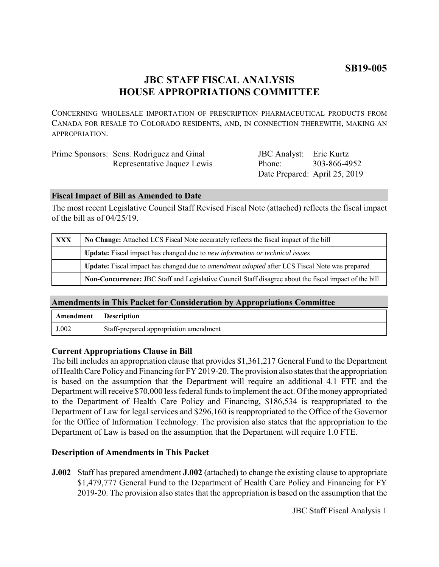# **JBC STAFF FISCAL ANALYSIS HOUSE APPROPRIATIONS COMMITTEE**

CONCERNING WHOLESALE IMPORTATION OF PRESCRIPTION PHARMACEUTICAL PRODUCTS FROM CANADA FOR RESALE TO COLORADO RESIDENTS, AND, IN CONNECTION THEREWITH, MAKING AN APPROPRIATION.

| Prime Sponsors: Sens. Rodriguez and Ginal | <b>JBC</b> Analyst: Eric Kurtz |              |
|-------------------------------------------|--------------------------------|--------------|
| Representative Jaquez Lewis               | Phone:                         | 303-866-4952 |
|                                           | Date Prepared: April 25, 2019  |              |

#### **Fiscal Impact of Bill as Amended to Date**

The most recent Legislative Council Staff Revised Fiscal Note (attached) reflects the fiscal impact of the bill as of 04/25/19.

| <b>XXX</b> | No Change: Attached LCS Fiscal Note accurately reflects the fiscal impact of the bill                 |  |
|------------|-------------------------------------------------------------------------------------------------------|--|
|            | Update: Fiscal impact has changed due to new information or technical issues                          |  |
|            | Update: Fiscal impact has changed due to <i>amendment adopted</i> after LCS Fiscal Note was prepared  |  |
|            | Non-Concurrence: JBC Staff and Legislative Council Staff disagree about the fiscal impact of the bill |  |

## **Amendments in This Packet for Consideration by Appropriations Committee**

| Amendment | Description                            |
|-----------|----------------------------------------|
| J.002     | Staff-prepared appropriation amendment |

## **Current Appropriations Clause in Bill**

The bill includes an appropriation clause that provides \$1,361,217 General Fund to the Department of Health Care Policy and Financing for FY 2019-20. The provision also states that the appropriation is based on the assumption that the Department will require an additional 4.1 FTE and the Department will receive \$70,000 less federal funds to implement the act. Of the money appropriated to the Department of Health Care Policy and Financing, \$186,534 is reappropriated to the Department of Law for legal services and \$296,160 is reappropriated to the Office of the Governor for the Office of Information Technology. The provision also states that the appropriation to the Department of Law is based on the assumption that the Department will require 1.0 FTE.

## **Description of Amendments in This Packet**

**J.002** Staff has prepared amendment **J.002** (attached) to change the existing clause to appropriate \$1,479,777 General Fund to the Department of Health Care Policy and Financing for FY 2019-20. The provision also states that the appropriation is based on the assumption that the